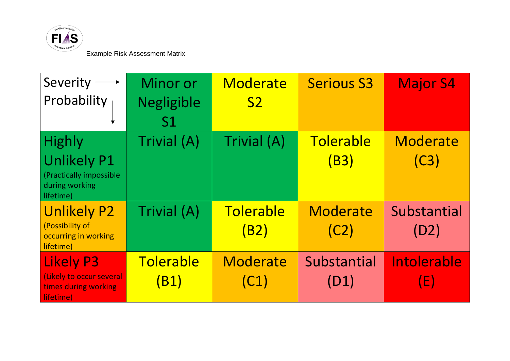

Example Risk Assessment Matrix

| Severity                                                                          | Minor or          | Moderate          | <b>Serious S3</b>   | <b>Major S4</b>     |
|-----------------------------------------------------------------------------------|-------------------|-------------------|---------------------|---------------------|
| Probability                                                                       | <b>Negligible</b> | S <sub>2</sub>    |                     |                     |
|                                                                                   | S <sub>1</sub>    |                   |                     |                     |
| <b>Highly</b>                                                                     | Trivial (A)       | Trivial (A)       | Tolerable           | Moderate            |
| <b>Unlikely P1</b><br>(Practically impossible<br>during working<br>lifetime)      |                   |                   | (B3)                | (C3)                |
| <b>Unlikely P2</b><br>(Possibility of<br>occurring in working<br>lifetime)        | Trivial (A)       | Tolerable<br>(B2) | Moderate<br>(C2)    | Substantial<br>(D2) |
| <b>Likely P3</b><br>(Likely to occur several<br>times during working<br>lifetime) | Tolerable<br>(B1) | Moderate<br>(C1)  | Substantial<br>(D1) | Intolerable<br>(E)  |